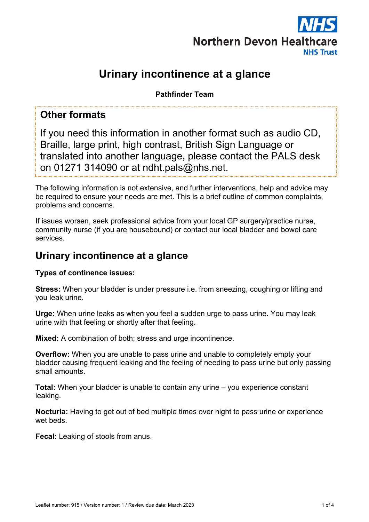

# **Urinary incontinence at a glance**

**Pathfinder Team**

## **Other formats**

If you need this information in another format such as audio CD, Braille, large print, high contrast, British Sign Language or translated into another language, please contact the PALS desk on 01271 314090 or at ndht.pals@nhs.net.

The following information is not extensive, and further interventions, help and advice may be required to ensure your needs are met. This is a brief outline of common complaints, problems and concerns.

If issues worsen, seek professional advice from your local GP surgery/practice nurse, community nurse (if you are housebound) or contact our local bladder and bowel care services.

## **Urinary incontinence at a glance**

#### **Types of continence issues:**

**Stress:** When your bladder is under pressure i.e. from sneezing, coughing or lifting and you leak urine.

**Urge:** When urine leaks as when you feel a sudden urge to pass urine. You may leak urine with that feeling or shortly after that feeling.

**Mixed:** A combination of both; stress and urge incontinence.

**Overflow:** When you are unable to pass urine and unable to completely empty your bladder causing frequent leaking and the feeling of needing to pass urine but only passing small amounts.

**Total:** When your bladder is unable to contain any urine – you experience constant leaking.

**Nocturia:** Having to get out of bed multiple times over night to pass urine or experience wet beds.

**Fecal:** Leaking of stools from anus.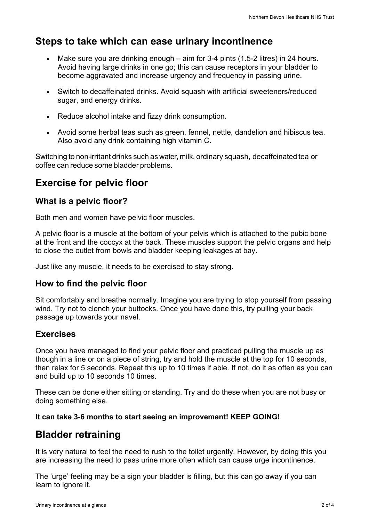## **Steps to take which can ease urinary incontinence**

- Make sure you are drinking enough aim for 3-4 pints (1.5-2 litres) in 24 hours. Avoid having large drinks in one go; this can cause receptors in your bladder to become aggravated and increase urgency and frequency in passing urine.
- Switch to decaffeinated drinks. Avoid squash with artificial sweeteners/reduced sugar, and energy drinks.
- Reduce alcohol intake and fizzy drink consumption.
- Avoid some herbal teas such as green, fennel, nettle, dandelion and hibiscus tea. Also avoid any drink containing high vitamin C.

Switching to non-irritant drinks such as water, milk, ordinary squash, decaffeinated tea or coffee can reduce some bladder problems.

## **Exercise for pelvic floor**

### **What is a pelvic floor?**

Both men and women have pelvic floor muscles.

A pelvic floor is a muscle at the bottom of your pelvis which is attached to the pubic bone at the front and the coccyx at the back. These muscles support the pelvic organs and help to close the outlet from bowls and bladder keeping leakages at bay.

Just like any muscle, it needs to be exercised to stay strong.

### **How to find the pelvic floor**

Sit comfortably and breathe normally. Imagine you are trying to stop yourself from passing wind. Try not to clench your buttocks. Once you have done this, try pulling your back passage up towards your navel.

### **Exercises**

Once you have managed to find your pelvic floor and practiced pulling the muscle up as though in a line or on a piece of string, try and hold the muscle at the top for 10 seconds, then relax for 5 seconds. Repeat this up to 10 times if able. If not, do it as often as you can and build up to 10 seconds 10 times.

These can be done either sitting or standing. Try and do these when you are not busy or doing something else.

#### **It can take 3-6 months to start seeing an improvement! KEEP GOING!**

## **Bladder retraining**

It is very natural to feel the need to rush to the toilet urgently. However, by doing this you are increasing the need to pass urine more often which can cause urge incontinence.

The 'urge' feeling may be a sign your bladder is filling, but this can go away if you can learn to ignore it.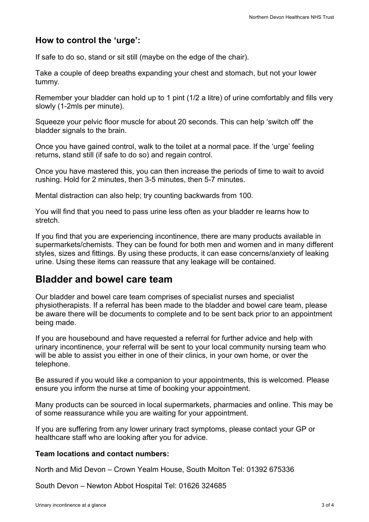### **How to control the 'urge':**

If safe to do so, stand or sit still (maybe on the edge of the chair).

Take a couple of deep breaths expanding your chest and stomach, but not your lower tummy.

Remember your bladder can hold up to 1 pint (1/2 a litre) of urine comfortably and fills very slowly (1-2mls per minute).

Squeeze your pelvic floor muscle for about 20 seconds. This can help 'switch off' the bladder signals to the brain.

Once you have gained control, walk to the toilet at a normal pace. If the 'urge' feeling returns, stand still (if safe to do so) and regain control.

Once you have mastered this, you can then increase the periods of time to wait to avoid rushing. Hold for 2 minutes, then 3-5 minutes, then 5-7 minutes.

Mental distraction can also help; try counting backwards from 100.

You will find that you need to pass urine less often as your bladder re learns how to stretch.

If you find that you are experiencing incontinence, there are many products available in supermarkets/chemists. They can be found for both men and women and in many different styles, sizes and fittings. By using these products, it can ease concerns/anxiety of leaking urine. Using these items can reassure that any leakage will be contained.

## **Bladder and bowel care team**

Our bladder and bowel care team comprises of specialist nurses and specialist physiotherapists. If a referral has been made to the bladder and bowel care team, please be aware there will be documents to complete and to be sent back prior to an appointment being made.

If you are housebound and have requested a referral for further advice and help with urinary incontinence, your referral will be sent to your local community nursing team who will be able to assist you either in one of their clinics, in your own home, or over the telephone.

Be assured if you would like a companion to your appointments, this is welcomed. Please ensure you inform the nurse at time of booking your appointment.

Many products can be sourced in local supermarkets, pharmacies and online. This may be of some reassurance while you are waiting for your appointment.

If you are suffering from any lower urinary tract symptoms, please contact your GP or healthcare staff who are looking after you for advice.

#### **Team locations and contact numbers:**

North and Mid Devon – Crown Yealm House, South Molton Tel: 01392 675336

South Devon – Newton Abbot Hospital Tel: 01626 324685